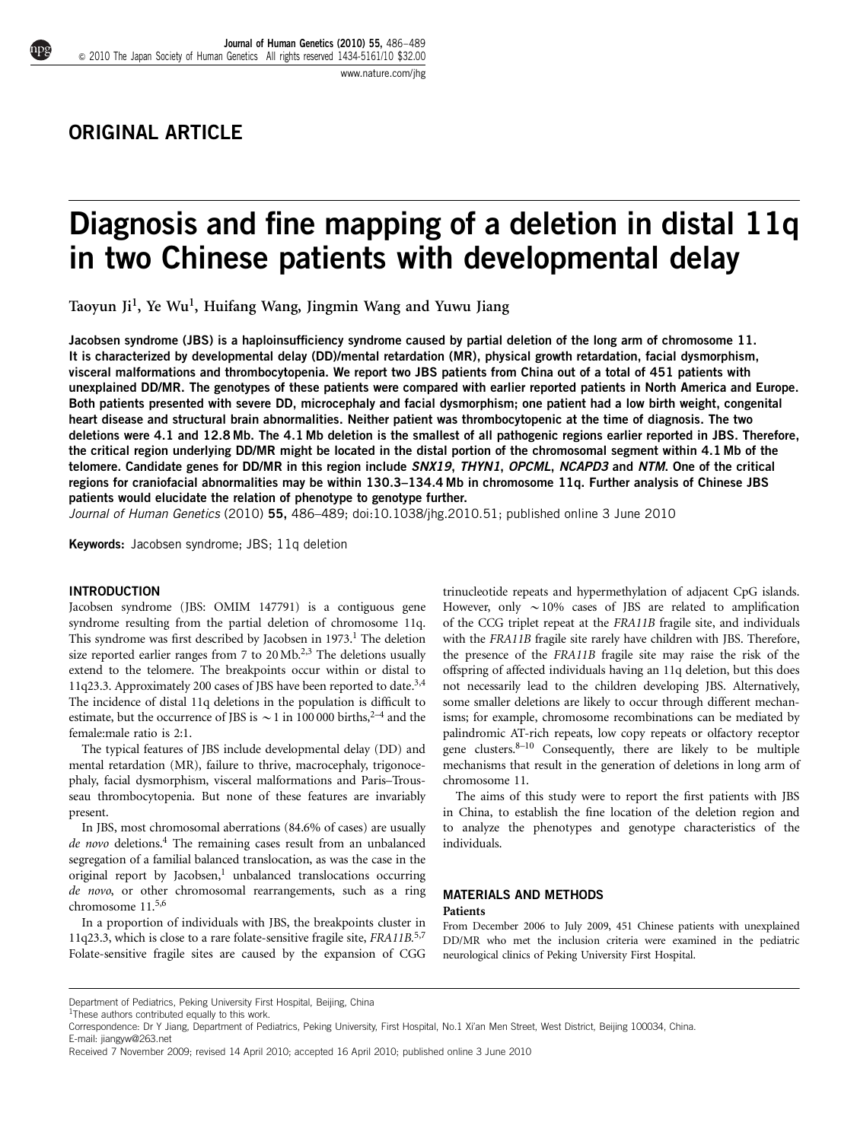# ORIGINAL ARTICLE

# Diagnosis and fine mapping of a deletion in distal 11q in two Chinese patients with developmental delay

Taoyun Ji<sup>1</sup>, Ye Wu<sup>1</sup>, Huifang Wang, Jingmin Wang and Yuwu Jiang

Jacobsen syndrome (JBS) is a haploinsufficiency syndrome caused by partial deletion of the long arm of chromosome 11. It is characterized by developmental delay (DD)/mental retardation (MR), physical growth retardation, facial dysmorphism, visceral malformations and thrombocytopenia. We report two JBS patients from China out of a total of 451 patients with unexplained DD/MR. The genotypes of these patients were compared with earlier reported patients in North America and Europe. Both patients presented with severe DD, microcephaly and facial dysmorphism; one patient had a low birth weight, congenital heart disease and structural brain abnormalities. Neither patient was thrombocytopenic at the time of diagnosis. The two deletions were 4.1 and 12.8 Mb. The 4.1 Mb deletion is the smallest of all pathogenic regions earlier reported in JBS. Therefore, the critical region underlying DD/MR might be located in the distal portion of the chromosomal segment within 4.1 Mb of the telomere. Candidate genes for DD/MR in this region include SNX19, THYN1, OPCML, NCAPD3 and NTM. One of the critical regions for craniofacial abnormalities may be within 130.3–134.4 Mb in chromosome 11q. Further analysis of Chinese JBS patients would elucidate the relation of phenotype to genotype further.

Journal of Human Genetics (2010) 55, 486-489; doi[:10.1038/jhg.2010.51](http://dx.doi.org/10.1038/jhg.2010.51); published online 3 June 2010

Keywords: Jacobsen syndrome; JBS; 11q deletion

## INTRODUCTION

Jacobsen syndrome (JBS: OMIM 147791) is a contiguous gene syndrome resulting from the partial deletion of chromosome 11q. This syndrome was first described by Jacobsen in 1973.<sup>1</sup> The deletion size reported earlier ranges from 7 to  $20 \text{ Mb.}^{2,3}$  The deletions usually extend to the telomere. The breakpoints occur within or distal to 11q23.3. Approximately 200 cases of JBS have been reported to date[.3,4](#page-3-0) The incidence of distal 11q deletions in the population is difficult to estimate, but the occurrence of JBS is  $\sim$  1 in 100 000 births,<sup>2–4</sup> and the female:male ratio is 2:1.

The typical features of JBS include developmental delay (DD) and mental retardation (MR), failure to thrive, macrocephaly, trigonocephaly, facial dysmorphism, visceral malformations and Paris–Trousseau thrombocytopenia. But none of these features are invariably present.

In JBS, most chromosomal aberrations (84.6% of cases) are usually de novo deletions.<sup>4</sup> The remaining cases result from an unbalanced segregation of a familial balanced translocation, as was the case in the original report by Jacobsen, $<sup>1</sup>$  unbalanced translocations occurring</sup> de novo, or other chromosomal rearrangements, such as a ring chromosome 11.[5,6](#page-3-0)

In a proportion of individuals with JBS, the breakpoints cluster in 11q23.3, which is close to a rare folate-sensitive fragile site,  $FRA11B^{5,7}$  $FRA11B^{5,7}$  $FRA11B^{5,7}$ Folate-sensitive fragile sites are caused by the expansion of CGG trinucleotide repeats and hypermethylation of adjacent CpG islands. However, only  $\sim$  10% cases of JBS are related to amplification of the CCG triplet repeat at the FRA11B fragile site, and individuals with the FRA11B fragile site rarely have children with JBS. Therefore, the presence of the FRA11B fragile site may raise the risk of the offspring of affected individuals having an 11q deletion, but this does not necessarily lead to the children developing JBS. Alternatively, some smaller deletions are likely to occur through different mechanisms; for example, chromosome recombinations can be mediated by palindromic AT-rich repeats, low copy repeats or olfactory receptor gene clusters. $8-10$  Consequently, there are likely to be multiple mechanisms that result in the generation of deletions in long arm of chromosome 11.

The aims of this study were to report the first patients with JBS in China, to establish the fine location of the deletion region and to analyze the phenotypes and genotype characteristics of the individuals.

#### MATERIALS AND METHODS **Patients**

From December 2006 to July 2009, 451 Chinese patients with unexplained DD/MR who met the inclusion criteria were examined in the pediatric neurological clinics of Peking University First Hospital.

Correspondence: Dr Y Jiang, Department of Pediatrics, Peking University, First Hospital, No.1 Xi'an Men Street, West District, Beijing 100034, China. E-mail: [jiangyw@263.net](mailto:jiangyw@263.net)

Department of Pediatrics, Peking University First Hospital, Beijing, China

 $1$ These authors contributed equally to this work.

Received 7 November 2009; revised 14 April 2010; accepted 16 April 2010; published online 3 June 2010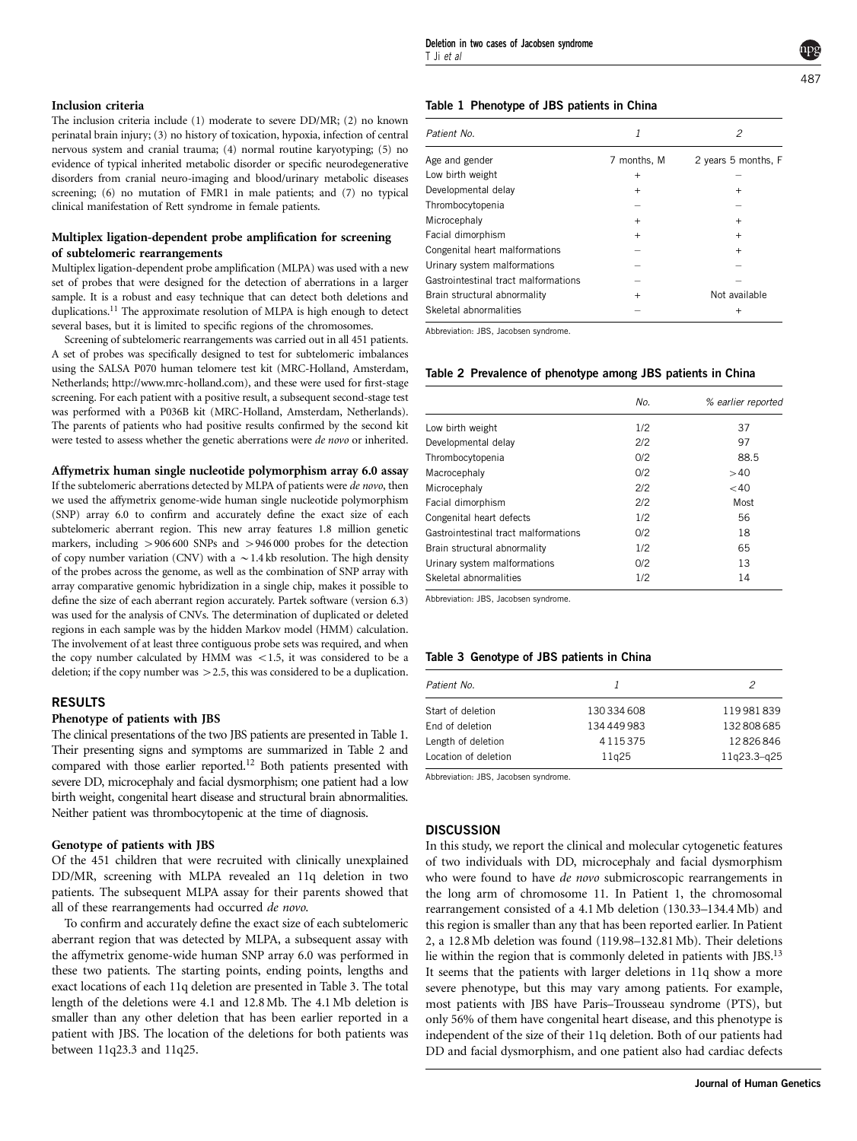The inclusion criteria include (1) moderate to severe DD/MR; (2) no known perinatal brain injury; (3) no history of toxication, hypoxia, infection of central nervous system and cranial trauma; (4) normal routine karyotyping; (5) no evidence of typical inherited metabolic disorder or specific neurodegenerative disorders from cranial neuro-imaging and blood/urinary metabolic diseases screening; (6) no mutation of FMR1 in male patients; and (7) no typical clinical manifestation of Rett syndrome in female patients.

# Multiplex ligation-dependent probe amplification for screening of subtelomeric rearrangements

Multiplex ligation-dependent probe amplification (MLPA) was used with a new set of probes that were designed for the detection of aberrations in a larger sample. It is a robust and easy technique that can detect both deletions and duplications[.11](#page-3-0) The approximate resolution of MLPA is high enough to detect several bases, but it is limited to specific regions of the chromosomes.

Screening of subtelomeric rearrangements was carried out in all 451 patients. A set of probes was specifically designed to test for subtelomeric imbalances using the SALSA P070 human telomere test kit (MRC-Holland, Amsterdam, Netherlands; [http://www.mrc-holland.com\)](http://www.mrc-holland.com), and these were used for first-stage screening. For each patient with a positive result, a subsequent second-stage test was performed with a P036B kit (MRC-Holland, Amsterdam, Netherlands). The parents of patients who had positive results confirmed by the second kit were tested to assess whether the genetic aberrations were de novo or inherited.

### Affymetrix human single nucleotide polymorphism array 6.0 assay

If the subtelomeric aberrations detected by MLPA of patients were de novo, then we used the affymetrix genome-wide human single nucleotide polymorphism (SNP) array 6.0 to confirm and accurately define the exact size of each subtelomeric aberrant region. This new array features 1.8 million genetic markers, including  $> 906 600$  SNPs and  $> 946 000$  probes for the detection of copy number variation (CNV) with a  $\sim$  1.4 kb resolution. The high density of the probes across the genome, as well as the combination of SNP array with array comparative genomic hybridization in a single chip, makes it possible to define the size of each aberrant region accurately. Partek software (version 6.3) was used for the analysis of CNVs. The determination of duplicated or deleted regions in each sample was by the hidden Markov model (HMM) calculation. The involvement of at least three contiguous probe sets was required, and when the copy number calculated by HMM was  $\lt 1.5$ , it was considered to be a deletion; if the copy number was  $>$  2.5, this was considered to be a duplication.

# RESULTS

#### Phenotype of patients with JBS

The clinical presentations of the two JBS patients are presented in Table 1. Their presenting signs and symptoms are summarized in Table 2 and compared with those earlier reported.<sup>[12](#page-3-0)</sup> Both patients presented with severe DD, microcephaly and facial dysmorphism; one patient had a low birth weight, congenital heart disease and structural brain abnormalities. Neither patient was thrombocytopenic at the time of diagnosis.

#### Genotype of patients with JBS

Of the 451 children that were recruited with clinically unexplained DD/MR, screening with MLPA revealed an 11q deletion in two patients. The subsequent MLPA assay for their parents showed that all of these rearrangements had occurred de novo.

To confirm and accurately define the exact size of each subtelomeric aberrant region that was detected by MLPA, a subsequent assay with the affymetrix genome-wide human SNP array 6.0 was performed in these two patients. The starting points, ending points, lengths and exact locations of each 11q deletion are presented in Table 3. The total length of the deletions were 4.1 and 12.8Mb. The 4.1 Mb deletion is smaller than any other deletion that has been earlier reported in a patient with JBS. The location of the deletions for both patients was between 11q23.3 and 11q25.

#### Table 1 Phenotype of JBS patients in China

| Patient No.                          |             |                     |
|--------------------------------------|-------------|---------------------|
| Age and gender                       | 7 months, M | 2 years 5 months, F |
| Low birth weight                     | $^{+}$      |                     |
| Developmental delay                  | $\ddot{}$   | $\pm$               |
| Thrombocytopenia                     |             |                     |
| Microcephaly                         | $\ddot{}$   | $\overline{+}$      |
| Facial dimorphism                    | $\ddot{}$   | $\overline{+}$      |
| Congenital heart malformations       |             | $^{+}$              |
| Urinary system malformations         |             |                     |
| Gastrointestinal tract malformations |             |                     |
| Brain structural abnormality         | $\ddot{}$   | Not available       |
| Skeletal abnormalities               |             |                     |

Abbreviation: JBS, Jacobsen syndrome.

#### Table 2 Prevalence of phenotype among JBS patients in China

|                                      | No. | % earlier reported |
|--------------------------------------|-----|--------------------|
| Low birth weight                     | 1/2 | 37                 |
| Developmental delay                  | 2/2 | 97                 |
| Thrombocytopenia                     | O/2 | 88.5               |
| Macrocephaly                         | O/2 | >40                |
| Microcephaly                         | 2/2 | $<$ 40             |
| Facial dimorphism                    | 2/2 | Most               |
| Congenital heart defects             | 1/2 | 56                 |
| Gastrointestinal tract malformations | O/2 | 18                 |
| Brain structural abnormality         | 1/2 | 65                 |
| Urinary system malformations         | O/2 | 13                 |
| Skeletal abnormalities               | 1/2 | 14                 |

Abbreviation: JBS, Jacobsen syndrome.

#### Table 3 Genotype of JBS patients in China

| Patient No.          |           | 2           |
|----------------------|-----------|-------------|
| Start of deletion    | 130334608 | 119981839   |
| End of deletion      | 134449983 | 132808685   |
| Length of deletion   | 4115375   | 12826846    |
| Location of deletion | 11g25     | 11q23.3-q25 |

Abbreviation: JBS, Jacobsen syndrome.

# **DISCUSSION**

In this study, we report the clinical and molecular cytogenetic features of two individuals with DD, microcephaly and facial dysmorphism who were found to have *de novo* submicroscopic rearrangements in the long arm of chromosome 11. In Patient 1, the chromosomal rearrangement consisted of a 4.1 Mb deletion (130.33–134.4 Mb) and this region is smaller than any that has been reported earlier. In Patient 2, a 12.8Mb deletion was found (119.98–132.81Mb). Their deletions lie within the region that is commonly deleted in patients with JBS.<sup>[13](#page-3-0)</sup> It seems that the patients with larger deletions in 11q show a more severe phenotype, but this may vary among patients. For example, most patients with JBS have Paris–Trousseau syndrome (PTS), but only 56% of them have congenital heart disease, and this phenotype is independent of the size of their 11q deletion. Both of our patients had DD and facial dysmorphism, and one patient also had cardiac defects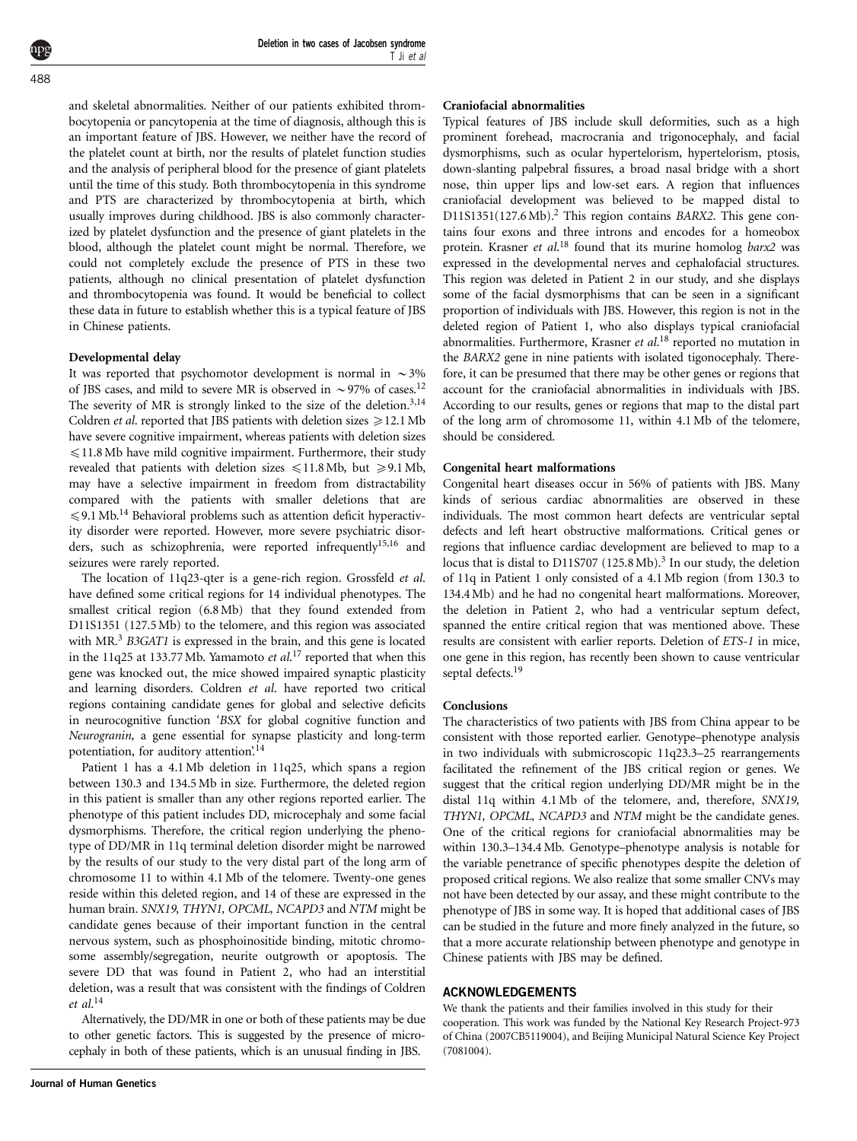and skeletal abnormalities. Neither of our patients exhibited thrombocytopenia or pancytopenia at the time of diagnosis, although this is an important feature of JBS. However, we neither have the record of the platelet count at birth, nor the results of platelet function studies and the analysis of peripheral blood for the presence of giant platelets until the time of this study. Both thrombocytopenia in this syndrome and PTS are characterized by thrombocytopenia at birth, which usually improves during childhood. JBS is also commonly characterized by platelet dysfunction and the presence of giant platelets in the blood, although the platelet count might be normal. Therefore, we could not completely exclude the presence of PTS in these two patients, although no clinical presentation of platelet dysfunction and thrombocytopenia was found. It would be beneficial to collect these data in future to establish whether this is a typical feature of JBS in Chinese patients.

#### Developmental delay

It was reported that psychomotor development is normal in  $\sim$  3% of JBS cases, and mild to severe MR is observed in  $\sim$ 97% of cases.<sup>[12](#page-3-0)</sup> The severity of MR is strongly linked to the size of the deletion.<sup>[3,14](#page-3-0)</sup> Coldren *et al.* reported that JBS patients with deletion sizes  $\geq 12.1$  Mb have severe cognitive impairment, whereas patients with deletion sizes  $\leq 11.8$  Mb have mild cognitive impairment. Furthermore, their study revealed that patients with deletion sizes  $\leq 11.8 \text{ Mb}$ , but  $\geq 9.1 \text{ Mb}$ , may have a selective impairment in freedom from distractability compared with the patients with smaller deletions that are  $\leqslant$ 9.1 Mb.<sup>[14](#page-3-0)</sup> Behavioral problems such as attention deficit hyperactivity disorder were reported. However, more severe psychiatric disor-ders, such as schizophrenia, were reported infrequently<sup>[15,16](#page-3-0)</sup> and seizures were rarely reported.

The location of 11q23-qter is a gene-rich region. Grossfeld et al. have defined some critical regions for 14 individual phenotypes. The smallest critical region (6.8Mb) that they found extended from D11S1351 (127.5Mb) to the telomere, and this region was associated with MR.<sup>3</sup> B3GAT1 is expressed in the brain, and this gene is located in the 11q25 at 133.77 Mb. Yamamoto et al.<sup>[17](#page-3-0)</sup> reported that when this gene was knocked out, the mice showed impaired synaptic plasticity and learning disorders. Coldren et al. have reported two critical regions containing candidate genes for global and selective deficits in neurocognitive function 'BSX for global cognitive function and Neurogranin, a gene essential for synapse plasticity and long-term potentiation, for auditory attention'.<sup>[14](#page-3-0)</sup>

Patient 1 has a 4.1 Mb deletion in 11q25, which spans a region between 130.3 and 134.5 Mb in size. Furthermore, the deleted region in this patient is smaller than any other regions reported earlier. The phenotype of this patient includes DD, microcephaly and some facial dysmorphisms. Therefore, the critical region underlying the phenotype of DD/MR in 11q terminal deletion disorder might be narrowed by the results of our study to the very distal part of the long arm of chromosome 11 to within 4.1 Mb of the telomere. Twenty-one genes reside within this deleted region, and 14 of these are expressed in the human brain. SNX19, THYN1, OPCML, NCAPD3 and NTM might be candidate genes because of their important function in the central nervous system, such as phosphoinositide binding, mitotic chromosome assembly/segregation, neurite outgrowth or apoptosis. The severe DD that was found in Patient 2, who had an interstitial deletion, was a result that was consistent with the findings of Coldren et al. [14](#page-3-0)

Alternatively, the DD/MR in one or both of these patients may be due to other genetic factors. This is suggested by the presence of microcephaly in both of these patients, which is an unusual finding in JBS.

#### Craniofacial abnormalities

Typical features of JBS include skull deformities, such as a high prominent forehead, macrocrania and trigonocephaly, and facial dysmorphisms, such as ocular hypertelorism, hypertelorism, ptosis, down-slanting palpebral fissures, a broad nasal bridge with a short nose, thin upper lips and low-set ears. A region that influences craniofacial development was believed to be mapped distal to  $D11S1351(127.6 Mb)<sup>2</sup>$  This region contains BARX2. This gene contains four exons and three introns and encodes for a homeobox protein. Krasner et al.<sup>[18](#page-3-0)</sup> found that its murine homolog barx2 was expressed in the developmental nerves and cephalofacial structures. This region was deleted in Patient 2 in our study, and she displays some of the facial dysmorphisms that can be seen in a significant proportion of individuals with JBS. However, this region is not in the deleted region of Patient 1, who also displays typical craniofacial abnormalities. Furthermore, Krasner et al.<sup>[18](#page-3-0)</sup> reported no mutation in the BARX2 gene in nine patients with isolated tigonocephaly. Therefore, it can be presumed that there may be other genes or regions that account for the craniofacial abnormalities in individuals with JBS. According to our results, genes or regions that map to the distal part of the long arm of chromosome 11, within 4.1 Mb of the telomere, should be considered.

#### Congenital heart malformations

Congenital heart diseases occur in 56% of patients with JBS. Many kinds of serious cardiac abnormalities are observed in these individuals. The most common heart defects are ventricular septal defects and left heart obstructive malformations. Critical genes or regions that influence cardiac development are believed to map to a locus that is distal to D11S707  $(125.8 \text{ Mb})$ .<sup>[3](#page-3-0)</sup> In our study, the deletion of 11q in Patient 1 only consisted of a 4.1 Mb region (from 130.3 to 134.4 Mb) and he had no congenital heart malformations. Moreover, the deletion in Patient 2, who had a ventricular septum defect, spanned the entire critical region that was mentioned above. These results are consistent with earlier reports. Deletion of ETS-1 in mice, one gene in this region, has recently been shown to cause ventricular septal defects.<sup>[19](#page-3-0)</sup>

#### Conclusions

The characteristics of two patients with JBS from China appear to be consistent with those reported earlier. Genotype–phenotype analysis in two individuals with submicroscopic 11q23.3–25 rearrangements facilitated the refinement of the JBS critical region or genes. We suggest that the critical region underlying DD/MR might be in the distal 11q within 4.1 Mb of the telomere, and, therefore, SNX19, THYN1, OPCML, NCAPD3 and NTM might be the candidate genes. One of the critical regions for craniofacial abnormalities may be within 130.3–134.4 Mb. Genotype–phenotype analysis is notable for the variable penetrance of specific phenotypes despite the deletion of proposed critical regions. We also realize that some smaller CNVs may not have been detected by our assay, and these might contribute to the phenotype of JBS in some way. It is hoped that additional cases of JBS can be studied in the future and more finely analyzed in the future, so that a more accurate relationship between phenotype and genotype in Chinese patients with JBS may be defined.

#### ACKNOWLEDGEMENTS

We thank the patients and their families involved in this study for their cooperation. This work was funded by the National Key Research Project-973 of China (2007CB5119004), and Beijing Municipal Natural Science Key Project (7081004).